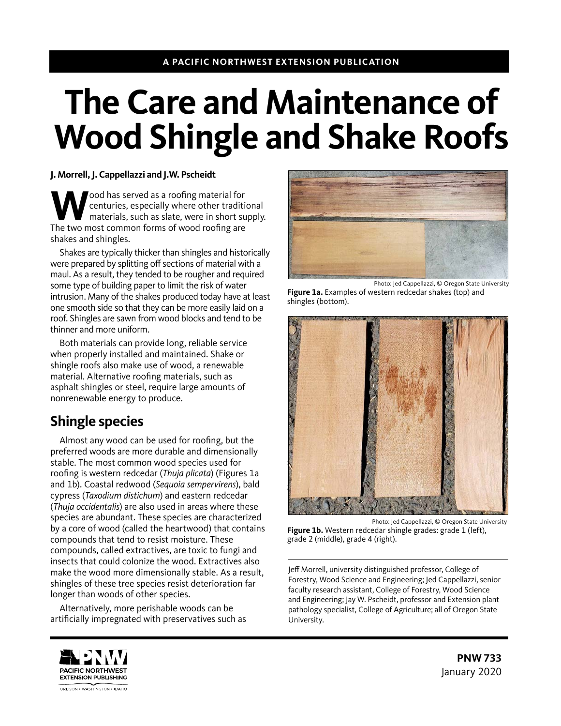#### **A PACIFIC NORTHWEST EXTENSION PUBLICATION**

# **The Care and Maintenance of Wood Shingle and Shake Roofs**

#### **J. Morrell, J. Cappellazzi and J.W. Pscheidt**

**W** cond has served as a roofing material for<br>
materials, such as slate, were in short supply.<br>
The two most common forms of wood roofing are centuries, especially where other traditional The two most common forms of wood roofing are shakes and shingles.

Shakes are typically thicker than shingles and historically were prepared by splitting off sections of material with a maul. As a result, they tended to be rougher and required some type of building paper to limit the risk of water intrusion. Many of the shakes produced today have at least one smooth side so that they can be more easily laid on a roof. Shingles are sawn from wood blocks and tend to be thinner and more uniform.

Both materials can provide long, reliable service when properly installed and maintained. Shake or shingle roofs also make use of wood, a renewable material. Alternative roofing materials, such as asphalt shingles or steel, require large amounts of nonrenewable energy to produce.

## **Shingle species**

Almost any wood can be used for roofing, but the preferred woods are more durable and dimensionally stable. The most common wood species used for roofing is western redcedar (*Thuja plicata*) (Figures 1a and 1b). Coastal redwood (*Sequoia sempervirens*), bald cypress (*Taxodium distichum*) and eastern redcedar (*Thuja occidentalis*) are also used in areas where these species are abundant. These species are characterized by a core of wood (called the heartwood) that contains compounds that tend to resist moisture. These compounds, called extractives, are toxic to fungi and insects that could colonize the wood. Extractives also make the wood more dimensionally stable. As a result, shingles of these tree species resist deterioration far longer than woods of other species.

Alternatively, more perishable woods can be artificially impregnated with preservatives such as



Photo: Jed Cappellazzi, © Oregon State University **Figure 1a.** Examples of western redcedar shakes (top) and shingles (bottom).



Photo: Jed Cappellazzi, © Oregon State University Figure 1b. Western redcedar shingle grades: grade 1 (left), grade 2 (middle), grade 4 (right).

Jeff Morrell, university distinguished professor, College of Forestry, Wood Science and Engineering; Jed Cappellazzi, senior faculty research assistant, College of Forestry, Wood Science and Engineering; Jay W. Pscheidt, professor and Extension plant pathology specialist, College of Agriculture; all of Oregon State University.

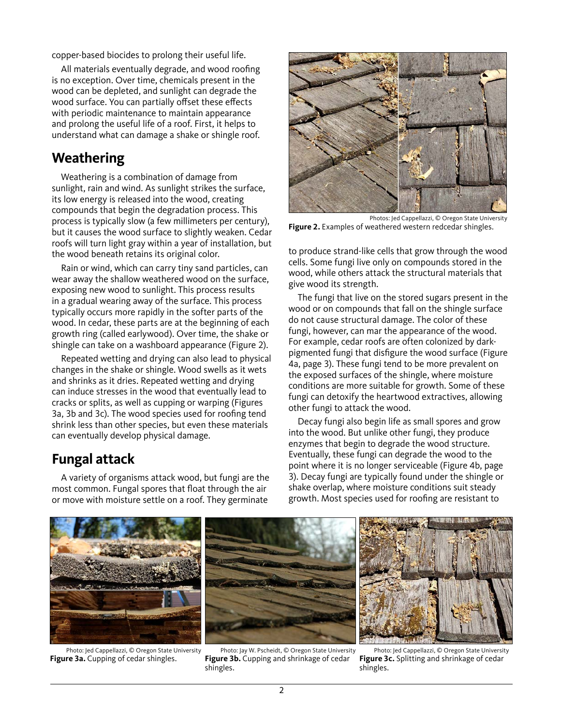copper-based biocides to prolong their useful life.

All materials eventually degrade, and wood roofing is no exception. Over time, chemicals present in the wood can be depleted, and sunlight can degrade the wood surface. You can partially offset these effects with periodic maintenance to maintain appearance and prolong the useful life of a roof. First, it helps to understand what can damage a shake or shingle roof.

## **Weathering**

Weathering is a combination of damage from sunlight, rain and wind. As sunlight strikes the surface, its low energy is released into the wood, creating compounds that begin the degradation process. This process is typically slow (a few millimeters per century), but it causes the wood surface to slightly weaken. Cedar roofs will turn light gray within a year of installation, but the wood beneath retains its original color.

Rain or wind, which can carry tiny sand particles, can wear away the shallow weathered wood on the surface, exposing new wood to sunlight. This process results in a gradual wearing away of the surface. This process typically occurs more rapidly in the softer parts of the wood. In cedar, these parts are at the beginning of each growth ring (called earlywood). Over time, the shake or shingle can take on a washboard appearance (Figure 2).

Repeated wetting and drying can also lead to physical changes in the shake or shingle. Wood swells as it wets and shrinks as it dries. Repeated wetting and drying can induce stresses in the wood that eventually lead to cracks or splits, as well as cupping or warping (Figures 3a, 3b and 3c). The wood species used for roofing tend shrink less than other species, but even these materials can eventually develop physical damage.

## **Fungal attack**

A variety of organisms attack wood, but fungi are the most common. Fungal spores that float through the air or move with moisture settle on a roof. They germinate



Photos: Jed Cappellazzi, © Oregon State University **Figure 2.** Examples of weathered western redcedar shingles.

to produce strand-like cells that grow through the wood cells. Some fungi live only on compounds stored in the wood, while others attack the structural materials that give wood its strength.

The fungi that live on the stored sugars present in the wood or on compounds that fall on the shingle surface do not cause structural damage. The color of these fungi, however, can mar the appearance of the wood. For example, cedar roofs are often colonized by darkpigmented fungi that disfigure the wood surface (Figure 4a, page 3). These fungi tend to be more prevalent on the exposed surfaces of the shingle, where moisture conditions are more suitable for growth. Some of these fungi can detoxify the heartwood extractives, allowing other fungi to attack the wood.

Decay fungi also begin life as small spores and grow into the wood. But unlike other fungi, they produce enzymes that begin to degrade the wood structure. Eventually, these fungi can degrade the wood to the point where it is no longer serviceable (Figure 4b, page 3). Decay fungi are typically found under the shingle or shake overlap, where moisture conditions suit steady growth. Most species used for roofing are resistant to



Photo: Jed Cappellazzi, © Oregon State University **Figure 3a.** Cupping of cedar shingles.

Photo: Jay W. Pscheidt, © Oregon State University **Figure 3b.** Cupping and shrinkage of cedar shingles.

Photo: Jed Cappellazzi, © Oregon State University **Figure 3c.** Splitting and shrinkage of cedar shingles.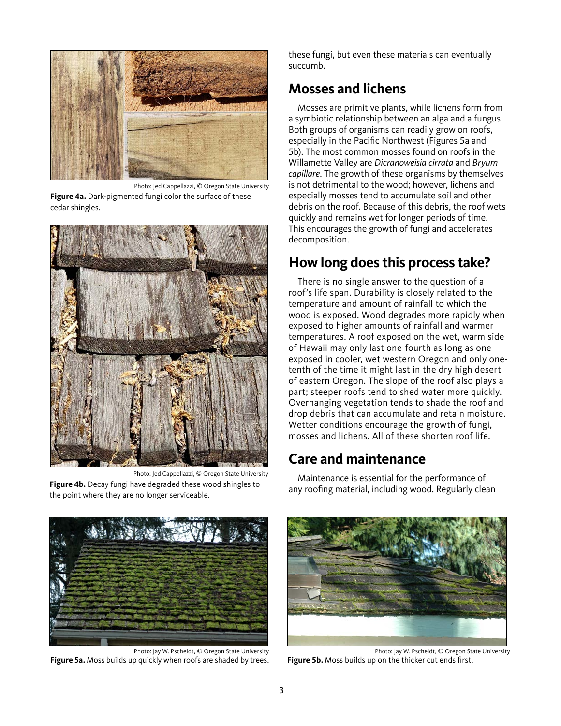

Photo: Jed Cappellazzi, © Oregon State University

**Figure 4a.** Dark-pigmented fungi color the surface of these cedar shingles.



Photo: Jed Cappellazzi, © Oregon State University **Figure 4b.** Decay fungi have degraded these wood shingles to the point where they are no longer serviceable.

these fungi, but even these materials can eventually succumb.

## **Mosses and lichens**

Mosses are primitive plants, while lichens form from a symbiotic relationship between an alga and a fungus. Both groups of organisms can readily grow on roofs, especially in the Pacific Northwest (Figures 5a and 5b). The most common mosses found on roofs in the Willamette Valley are *Dicranoweisia cirrata* and *Bryum capillare*. The growth of these organisms by themselves is not detrimental to the wood; however, lichens and especially mosses tend to accumulate soil and other debris on the roof. Because of this debris, the roof wets quickly and remains wet for longer periods of time. This encourages the growth of fungi and accelerates decomposition.

# **How long does this process take?**

There is no single answer to the question of a roof's life span. Durability is closely related to the temperature and amount of rainfall to which the wood is exposed. Wood degrades more rapidly when exposed to higher amounts of rainfall and warmer temperatures. A roof exposed on the wet, warm side of Hawaii may only last one-fourth as long as one exposed in cooler, wet western Oregon and only onetenth of the time it might last in the dry high desert of eastern Oregon. The slope of the roof also plays a part; steeper roofs tend to shed water more quickly. Overhanging vegetation tends to shade the roof and drop debris that can accumulate and retain moisture. Wetter conditions encourage the growth of fungi, mosses and lichens. All of these shorten roof life.

# **Care and maintenance**

Maintenance is essential for the performance of any roofing material, including wood. Regularly clean



Photo: Jay W. Pscheidt, © Oregon State University **Figure 5a.** Moss builds up quickly when roofs are shaded by trees.



Photo: Jay W. Pscheidt, © Oregon State University **Figure 5b.** Moss builds up on the thicker cut ends first.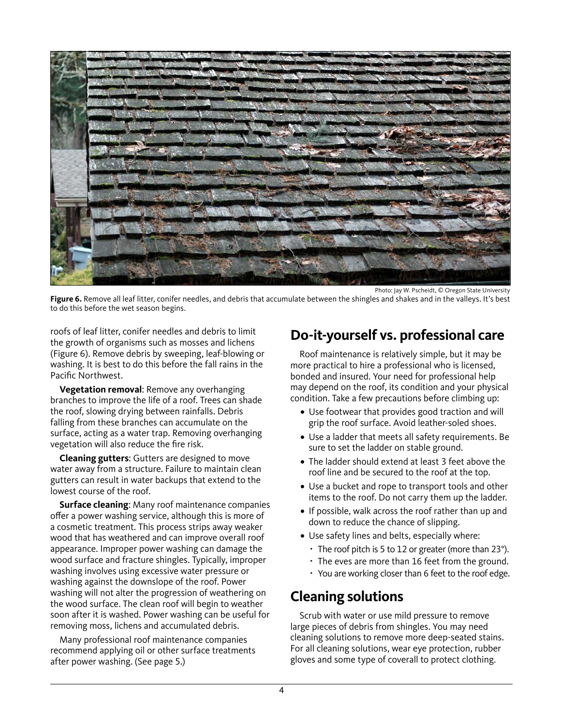

Photo: Jay W. Pscheidt, © Oregon State University

Figure 6. Remove all leaf litter, conifer needles, and debris that accumulate between the shingles and shakes and in the valleys. It's best to do this before the wet season begins.

roofs of leaf litter, conifer needles and debris to limit the growth of organisms such as mosses and lichens (Figure 6). Remove debris by sweeping, leaf-blowing or washing. It is best to do this before the fall rains in the Pacific Northwest.

**Vegetation removal**: Remove any overhanging branches to improve the life of a roof. Trees can shade the roof, slowing drying between rainfalls. Debris falling from these branches can accumulate on the surface, acting as a water trap. Removing overhanging vegetation will also reduce the fire risk.

**Cleaning gutters**: Gutters are designed to move water away from a structure. Failure to maintain clean gutters can result in water backups that extend to the lowest course of the roof.

**Surface cleaning**: Many roof maintenance companies offer a power washing service, although this is more of a cosmetic treatment. This process strips away weaker wood that has weathered and can improve overall roof appearance. Improper power washing can damage the wood surface and fracture shingles. Typically, improper washing involves using excessive water pressure or washing against the downslope of the roof. Power washing will not alter the progression of weathering on the wood surface. The clean roof will begin to weather soon after it is washed. Power washing can be useful for removing moss, lichens and accumulated debris.

Many professional roof maintenance companies recommend applying oil or other surface treatments after power washing. (See page 5.)

# **Do-it-yourself vs. professional care**

Roof maintenance is relatively simple, but it may be more practical to hire a professional who is licensed, bonded and insured. Your need for professional help may depend on the roof, its condition and your physical condition. Take a few precautions before climbing up:

- **•** Use footwear that provides good traction and will grip the roof surface. Avoid leather-soled shoes.
- **•** Use a ladder that meets all safety requirements. Be sure to set the ladder on stable ground.
- **•** The ladder should extend at least 3 feet above the roof line and be secured to the roof at the top.
- **•** Use a bucket and rope to transport tools and other items to the roof. Do not carry them up the ladder.
- **•** If possible, walk across the roof rather than up and down to reduce the chance of slipping.
- **•** Use safety lines and belts, especially where:
	- $\cdot$  The roof pitch is 5 to 12 or greater (more than 23°).
	- $\cdot$  The eves are more than 16 feet from the ground.
	- You are working closer than 6 feet to the roof edge.

## **Cleaning solutions**

Scrub with water or use mild pressure to remove large pieces of debris from shingles. You may need cleaning solutions to remove more deep-seated stains. For all cleaning solutions, wear eye protection, rubber gloves and some type of coverall to protect clothing.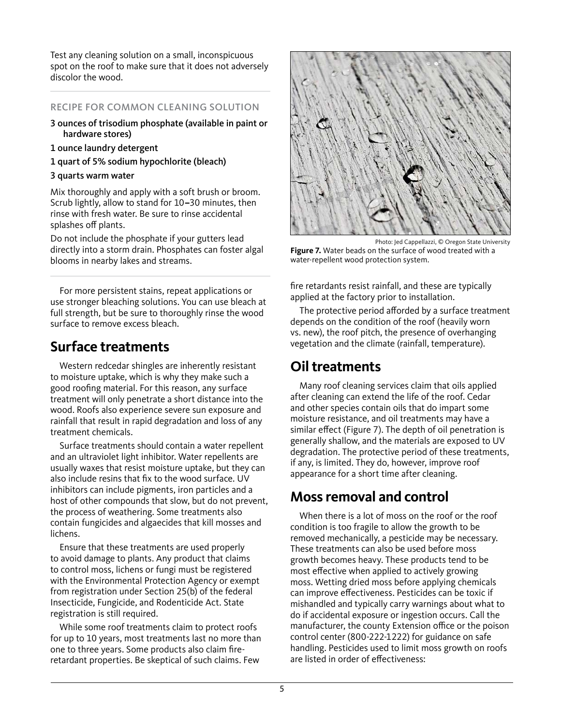Test any cleaning solution on a small, inconspicuous spot on the roof to make sure that it does not adversely discolor the wood.

#### RECIPE FOR COMMON CLEANING SOLUTION

- 3 ounces of trisodium phosphate (available in paint or hardware stores)
- 1 ounce laundry detergent
- 1 quart of 5% sodium hypochlorite (bleach)

#### 3 quarts warm water

Mix thoroughly and apply with a soft brush or broom. Scrub lightly, allow to stand for 10**–**30 minutes, then rinse with fresh water. Be sure to rinse accidental splashes off plants.

Do not include the phosphate if your gutters lead directly into a storm drain. Phosphates can foster algal blooms in nearby lakes and streams.

For more persistent stains, repeat applications or use stronger bleaching solutions. You can use bleach at full strength, but be sure to thoroughly rinse the wood surface to remove excess bleach.

# **Surface treatments**

Western redcedar shingles are inherently resistant to moisture uptake, which is why they make such a good roofing material. For this reason, any surface treatment will only penetrate a short distance into the wood. Roofs also experience severe sun exposure and rainfall that result in rapid degradation and loss of any treatment chemicals.

Surface treatments should contain a water repellent and an ultraviolet light inhibitor. Water repellents are usually waxes that resist moisture uptake, but they can also include resins that fix to the wood surface. UV inhibitors can include pigments, iron particles and a host of other compounds that slow, but do not prevent, the process of weathering. Some treatments also contain fungicides and algaecides that kill mosses and lichens.

Ensure that these treatments are used properly to avoid damage to plants. Any product that claims to control moss, lichens or fungi must be registered with the Environmental Protection Agency or exempt from registration under Section 25(b) of the federal Insecticide, Fungicide, and Rodenticide Act. State registration is still required.

While some roof treatments claim to protect roofs for up to 10 years, most treatments last no more than one to three years. Some products also claim fireretardant properties. Be skeptical of such claims. Few



Photo: Jed Cappellazzi, © Oregon State University **Figure 7.** Water beads on the surface of wood treated with a water-repellent wood protection system.

fire retardants resist rainfall, and these are typically applied at the factory prior to installation.

The protective period afforded by a surface treatment depends on the condition of the roof (heavily worn vs. new), the roof pitch, the presence of overhanging vegetation and the climate (rainfall, temperature).

# **Oil treatments**

Many roof cleaning services claim that oils applied after cleaning can extend the life of the roof. Cedar and other species contain oils that do impart some moisture resistance, and oil treatments may have a similar effect (Figure 7). The depth of oil penetration is generally shallow, and the materials are exposed to UV degradation. The protective period of these treatments, if any, is limited. They do, however, improve roof appearance for a short time after cleaning.

# **Moss removal and control**

When there is a lot of moss on the roof or the roof condition is too fragile to allow the growth to be removed mechanically, a pesticide may be necessary. These treatments can also be used before moss growth becomes heavy. These products tend to be most effective when applied to actively growing moss. Wetting dried moss before applying chemicals can improve effectiveness. Pesticides can be toxic if mishandled and typically carry warnings about what to do if accidental exposure or ingestion occurs. Call the manufacturer, the county Extension office or the poison control center (800-222-1222) for guidance on safe handling. Pesticides used to limit moss growth on roofs are listed in order of effectiveness: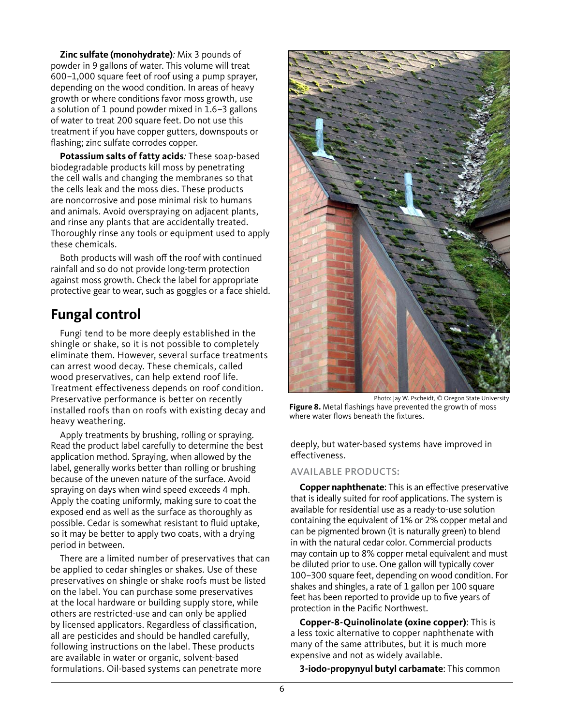**Zinc sulfate (monohydrate)***:* Mix 3 pounds of powder in 9 gallons of water. This volume will treat 600–1,000 square feet of roof using a pump sprayer, depending on the wood condition. In areas of heavy growth or where conditions favor moss growth, use a solution of 1 pound powder mixed in 1.6–3 gallons of water to treat 200 square feet. Do not use this treatment if you have copper gutters, downspouts or flashing; zinc sulfate corrodes copper.

**Potassium salts of fatty acids***:* These soap-based biodegradable products kill moss by penetrating the cell walls and changing the membranes so that the cells leak and the moss dies. These products are noncorrosive and pose minimal risk to humans and animals. Avoid overspraying on adjacent plants, and rinse any plants that are accidentally treated. Thoroughly rinse any tools or equipment used to apply these chemicals.

Both products will wash off the roof with continued rainfall and so do not provide long-term protection against moss growth. Check the label for appropriate protective gear to wear, such as goggles or a face shield.

# **Fungal control**

Fungi tend to be more deeply established in the shingle or shake, so it is not possible to completely eliminate them. However, several surface treatments can arrest wood decay. These chemicals, called wood preservatives, can help extend roof life. Treatment effectiveness depends on roof condition. Preservative performance is better on recently installed roofs than on roofs with existing decay and heavy weathering.

Apply treatments by brushing, rolling or spraying. Read the product label carefully to determine the best application method. Spraying, when allowed by the label, generally works better than rolling or brushing because of the uneven nature of the surface. Avoid spraying on days when wind speed exceeds 4 mph. Apply the coating uniformly, making sure to coat the exposed end as well as the surface as thoroughly as possible. Cedar is somewhat resistant to fluid uptake, so it may be better to apply two coats, with a drying period in between.

There are a limited number of preservatives that can be applied to cedar shingles or shakes. Use of these preservatives on shingle or shake roofs must be listed on the label. You can purchase some preservatives at the local hardware or building supply store, while others are restricted-use and can only be applied by licensed applicators. Regardless of classification, all are pesticides and should be handled carefully, following instructions on the label. These products are available in water or organic, solvent-based formulations. Oil-based systems can penetrate more



Photo: Jay W. Pscheidt, © Oregon State University **Figure 8.** Metal flashings have prevented the growth of moss where water flows beneath the fixtures.

deeply, but water-based systems have improved in effectiveness.

#### AVAILABLE PRODUCTS:

**Copper naphthenate**: This is an effective preservative that is ideally suited for roof applications. The system is available for residential use as a ready-to-use solution containing the equivalent of 1% or 2% copper metal and can be pigmented brown (it is naturally green) to blend in with the natural cedar color. Commercial products may contain up to 8% copper metal equivalent and must be diluted prior to use. One gallon will typically cover 100–300 square feet, depending on wood condition. For shakes and shingles, a rate of 1 gallon per 100 square feet has been reported to provide up to five years of protection in the Pacific Northwest.

**Copper-8-Quinolinolate (oxine copper)**: This is a less toxic alternative to copper naphthenate with many of the same attributes, but it is much more expensive and not as widely available.

**3-iodo-propynyul butyl carbamate**: This common